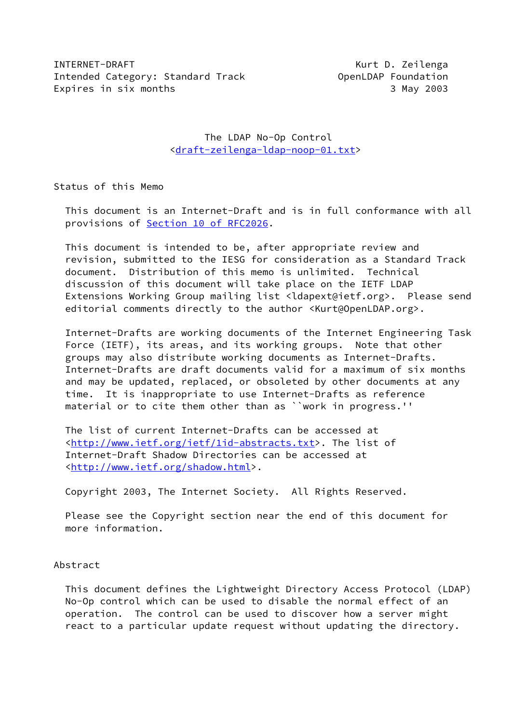INTERNET-DRAFT Kurt D. Zeilenga Intended Category: Standard Track **Category: Standard Track** OpenLDAP Foundation Expires in six months 3 May 2003

 The LDAP No-Op Control [<draft-zeilenga-ldap-noop-01.txt](https://datatracker.ietf.org/doc/pdf/draft-zeilenga-ldap-noop-01.txt)>

Status of this Memo

 This document is an Internet-Draft and is in full conformance with all provisions of Section [10 of RFC2026](https://datatracker.ietf.org/doc/pdf/rfc2026#section-10).

 This document is intended to be, after appropriate review and revision, submitted to the IESG for consideration as a Standard Track document. Distribution of this memo is unlimited. Technical discussion of this document will take place on the IETF LDAP Extensions Working Group mailing list <ldapext@ietf.org>. Please send editorial comments directly to the author <Kurt@OpenLDAP.org>.

 Internet-Drafts are working documents of the Internet Engineering Task Force (IETF), its areas, and its working groups. Note that other groups may also distribute working documents as Internet-Drafts. Internet-Drafts are draft documents valid for a maximum of six months and may be updated, replaced, or obsoleted by other documents at any time. It is inappropriate to use Internet-Drafts as reference material or to cite them other than as ``work in progress.''

 The list of current Internet-Drafts can be accessed at [<http://www.ietf.org/ietf/1id-abstracts.txt](http://www.ietf.org/ietf/1id-abstracts.txt)>. The list of Internet-Draft Shadow Directories can be accessed at [<http://www.ietf.org/shadow.html](http://www.ietf.org/shadow.html)>.

Copyright 2003, The Internet Society. All Rights Reserved.

 Please see the Copyright section near the end of this document for more information.

Abstract

 This document defines the Lightweight Directory Access Protocol (LDAP) No-Op control which can be used to disable the normal effect of an operation. The control can be used to discover how a server might react to a particular update request without updating the directory.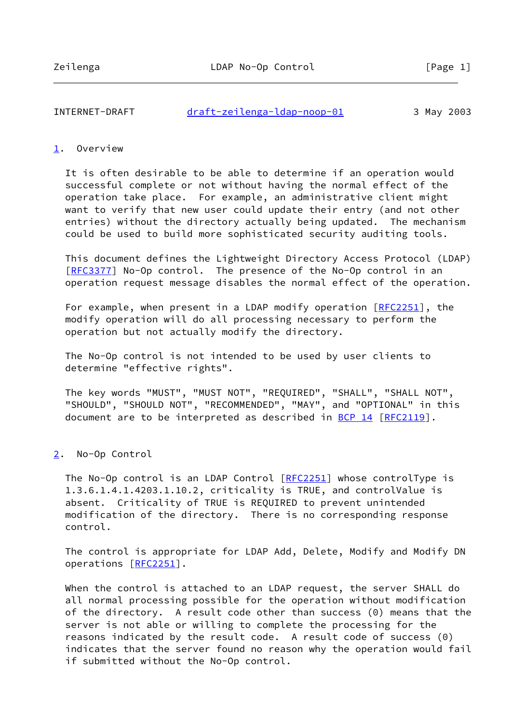## INTERNET-DRAFT [draft-zeilenga-ldap-noop-01](https://datatracker.ietf.org/doc/pdf/draft-zeilenga-ldap-noop-01) 3 May 2003

## <span id="page-1-0"></span>[1](#page-1-0). Overview

 It is often desirable to be able to determine if an operation would successful complete or not without having the normal effect of the operation take place. For example, an administrative client might want to verify that new user could update their entry (and not other entries) without the directory actually being updated. The mechanism could be used to build more sophisticated security auditing tools.

 This document defines the Lightweight Directory Access Protocol (LDAP) [\[RFC3377](https://datatracker.ietf.org/doc/pdf/rfc3377)] No-Op control. The presence of the No-Op control in an operation request message disables the normal effect of the operation.

For example, when present in a LDAP modify operation [\[RFC2251](https://datatracker.ietf.org/doc/pdf/rfc2251)], the modify operation will do all processing necessary to perform the operation but not actually modify the directory.

 The No-Op control is not intended to be used by user clients to determine "effective rights".

 The key words "MUST", "MUST NOT", "REQUIRED", "SHALL", "SHALL NOT", "SHOULD", "SHOULD NOT", "RECOMMENDED", "MAY", and "OPTIONAL" in this document are to be interpreted as described in [BCP 14](https://datatracker.ietf.org/doc/pdf/bcp14) [\[RFC2119](https://datatracker.ietf.org/doc/pdf/rfc2119)].

## <span id="page-1-1"></span>[2](#page-1-1). No-Op Control

The No-Op control is an LDAP Control [\[RFC2251](https://datatracker.ietf.org/doc/pdf/rfc2251)] whose controlType is 1.3.6.1.4.1.4203.1.10.2, criticality is TRUE, and controlValue is absent. Criticality of TRUE is REQUIRED to prevent unintended modification of the directory. There is no corresponding response control.

 The control is appropriate for LDAP Add, Delete, Modify and Modify DN operations [[RFC2251](https://datatracker.ietf.org/doc/pdf/rfc2251)].

 When the control is attached to an LDAP request, the server SHALL do all normal processing possible for the operation without modification of the directory. A result code other than success (0) means that the server is not able or willing to complete the processing for the reasons indicated by the result code. A result code of success (0) indicates that the server found no reason why the operation would fail if submitted without the No-Op control.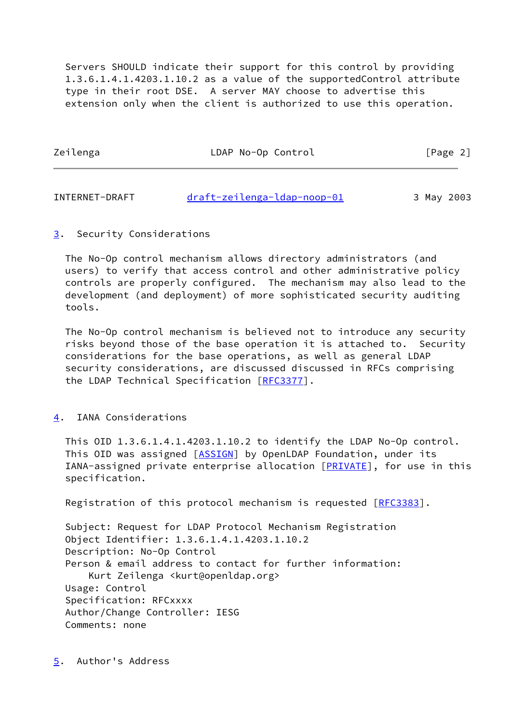Servers SHOULD indicate their support for this control by providing 1.3.6.1.4.1.4203.1.10.2 as a value of the supportedControl attribute type in their root DSE. A server MAY choose to advertise this extension only when the client is authorized to use this operation.

| Zeilenga | LDAP No-Op Control | [Page 2] |
|----------|--------------------|----------|
|          |                    |          |

| INTERNET-DRAFT | draft-zeilenga-ldap-noop-01 | 3 May 2003 |
|----------------|-----------------------------|------------|
|----------------|-----------------------------|------------|

<span id="page-2-0"></span>[3](#page-2-0). Security Considerations

 The No-Op control mechanism allows directory administrators (and users) to verify that access control and other administrative policy controls are properly configured. The mechanism may also lead to the development (and deployment) of more sophisticated security auditing tools.

 The No-Op control mechanism is believed not to introduce any security risks beyond those of the base operation it is attached to. Security considerations for the base operations, as well as general LDAP security considerations, are discussed discussed in RFCs comprising the LDAP Technical Specification [\[RFC3377](https://datatracker.ietf.org/doc/pdf/rfc3377)].

## <span id="page-2-1"></span>[4](#page-2-1). IANA Considerations

 This OID 1.3.6.1.4.1.4203.1.10.2 to identify the LDAP No-Op control. This OID was assigned [\[ASSIGN](#page-3-0)] by OpenLDAP Foundation, under its IANA-assigned private enterprise allocation [[PRIVATE\]](#page-3-1), for use in this specification.

Registration of this protocol mechanism is requested [\[RFC3383](https://datatracker.ietf.org/doc/pdf/rfc3383)].

<span id="page-2-2"></span> Subject: Request for LDAP Protocol Mechanism Registration Object Identifier: 1.3.6.1.4.1.4203.1.10.2 Description: No-Op Control Person & email address to contact for further information: Kurt Zeilenga <kurt@openldap.org> Usage: Control Specification: RFCxxxx Author/Change Controller: IESG Comments: none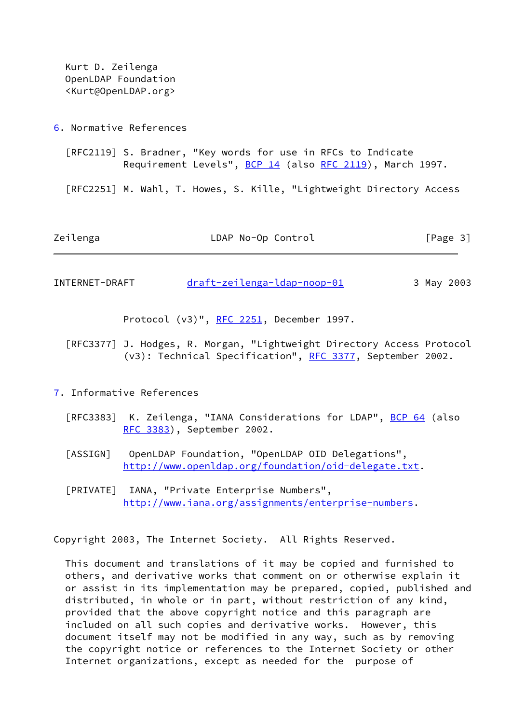Kurt D. Zeilenga OpenLDAP Foundation <Kurt@OpenLDAP.org>

<span id="page-3-2"></span>[6](#page-3-2). Normative References

 [RFC2119] S. Bradner, "Key words for use in RFCs to Indicate Requirement Levels", [BCP 14](https://datatracker.ietf.org/doc/pdf/bcp14) (also [RFC 2119\)](https://datatracker.ietf.org/doc/pdf/rfc2119), March 1997.

[RFC2251] M. Wahl, T. Howes, S. Kille, "Lightweight Directory Access

Zeilenga LDAP No-Op Control [Page 3]

INTERNET-DRAFT [draft-zeilenga-ldap-noop-01](https://datatracker.ietf.org/doc/pdf/draft-zeilenga-ldap-noop-01) 3 May 2003

Protocol (v3)", [RFC 2251](https://datatracker.ietf.org/doc/pdf/rfc2251), December 1997.

 [RFC3377] J. Hodges, R. Morgan, "Lightweight Directory Access Protocol (v3): Technical Specification", [RFC 3377](https://datatracker.ietf.org/doc/pdf/rfc3377), September 2002.

- <span id="page-3-3"></span><span id="page-3-0"></span>[7](#page-3-3). Informative References
	- [RFC3383] K. Zeilenga, "IANA Considerations for LDAP", [BCP 64](https://datatracker.ietf.org/doc/pdf/bcp64) (also [RFC 3383](https://datatracker.ietf.org/doc/pdf/rfc3383)), September 2002.
	- [ASSIGN] OpenLDAP Foundation, "OpenLDAP OID Delegations", <http://www.openldap.org/foundation/oid-delegate.txt>.
	- [PRIVATE] IANA, "Private Enterprise Numbers", [http://www.iana.org/assignments/enterprise-numbers.](http://www.iana.org/assignments/enterprise-numbers)

<span id="page-3-1"></span>Copyright 2003, The Internet Society. All Rights Reserved.

 This document and translations of it may be copied and furnished to others, and derivative works that comment on or otherwise explain it or assist in its implementation may be prepared, copied, published and distributed, in whole or in part, without restriction of any kind, provided that the above copyright notice and this paragraph are included on all such copies and derivative works. However, this document itself may not be modified in any way, such as by removing the copyright notice or references to the Internet Society or other Internet organizations, except as needed for the purpose of